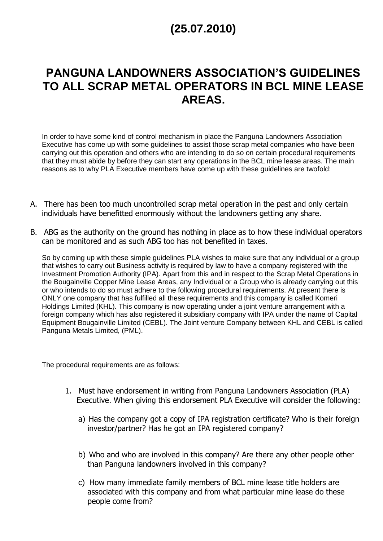## **(25.07.2010)**

## **PANGUNA LANDOWNERS ASSOCIATION'S GUIDELINES TO ALL SCRAP METAL OPERATORS IN BCL MINE LEASE AREAS.**

In order to have some kind of control mechanism in place the Panguna Landowners Association Executive has come up with some guidelines to assist those scrap metal companies who have been carrying out this operation and others who are intending to do so on certain procedural requirements that they must abide by before they can start any operations in the BCL mine lease areas. The main reasons as to why PLA Executive members have come up with these guidelines are twofold:

- A. There has been too much uncontrolled scrap metal operation in the past and only certain individuals have benefitted enormously without the landowners getting any share.
- B. ABG as the authority on the ground has nothing in place as to how these individual operators can be monitored and as such ABG too has not benefited in taxes.

So by coming up with these simple guidelines PLA wishes to make sure that any individual or a group that wishes to carry out Business activity is required by law to have a company registered with the Investment Promotion Authority (IPA). Apart from this and in respect to the Scrap Metal Operations in the Bougainville Copper Mine Lease Areas, any Individual or a Group who is already carrying out this or who intends to do so must adhere to the following procedural requirements. At present there is ONLY one company that has fulfilled all these requirements and this company is called Komeri Holdings Limited (KHL). This company is now operating under a joint venture arrangement with a foreign company which has also registered it subsidiary company with IPA under the name of Capital Equipment Bougainville Limited (CEBL). The Joint venture Company between KHL and CEBL is called Panguna Metals Limited, (PML).

The procedural requirements are as follows:

- 1. Must have endorsement in writing from Panguna Landowners Association (PLA) Executive. When giving this endorsement PLA Executive will consider the following:
	- a) Has the company got a copy of IPA registration certificate? Who is their foreign investor/partner? Has he got an IPA registered company?
	- b) Who and who are involved in this company? Are there any other people other than Panguna landowners involved in this company?
	- c) How many immediate family members of BCL mine lease title holders are associated with this company and from what particular mine lease do these people come from?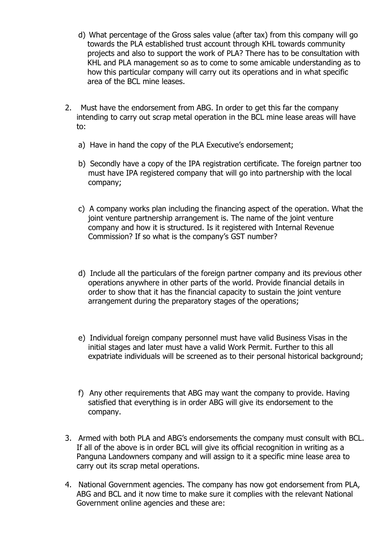- d) What percentage of the Gross sales value (after tax) from this company will go towards the PLA established trust account through KHL towards community projects and also to support the work of PLA? There has to be consultation with KHL and PLA management so as to come to some amicable understanding as to how this particular company will carry out its operations and in what specific area of the BCL mine leases.
- 2. Must have the endorsement from ABG. In order to get this far the company intending to carry out scrap metal operation in the BCL mine lease areas will have to:
	- a) Have in hand the copy of the PLA Executive's endorsement;
	- b) Secondly have a copy of the IPA registration certificate. The foreign partner too must have IPA registered company that will go into partnership with the local company;
	- c) A company works plan including the financing aspect of the operation. What the joint venture partnership arrangement is. The name of the joint venture company and how it is structured. Is it registered with Internal Revenue Commission? If so what is the company's GST number?
	- d) Include all the particulars of the foreign partner company and its previous other operations anywhere in other parts of the world. Provide financial details in order to show that it has the financial capacity to sustain the joint venture arrangement during the preparatory stages of the operations;
	- e) Individual foreign company personnel must have valid Business Visas in the initial stages and later must have a valid Work Permit. Further to this all expatriate individuals will be screened as to their personal historical background;
	- f) Any other requirements that ABG may want the company to provide. Having satisfied that everything is in order ABG will give its endorsement to the company.
- 3. Armed with both PLA and ABG's endorsements the company must consult with BCL. If all of the above is in order BCL will give its official recognition in writing as a Panguna Landowners company and will assign to it a specific mine lease area to carry out its scrap metal operations.
- 4. National Government agencies. The company has now got endorsement from PLA, ABG and BCL and it now time to make sure it complies with the relevant National Government online agencies and these are: